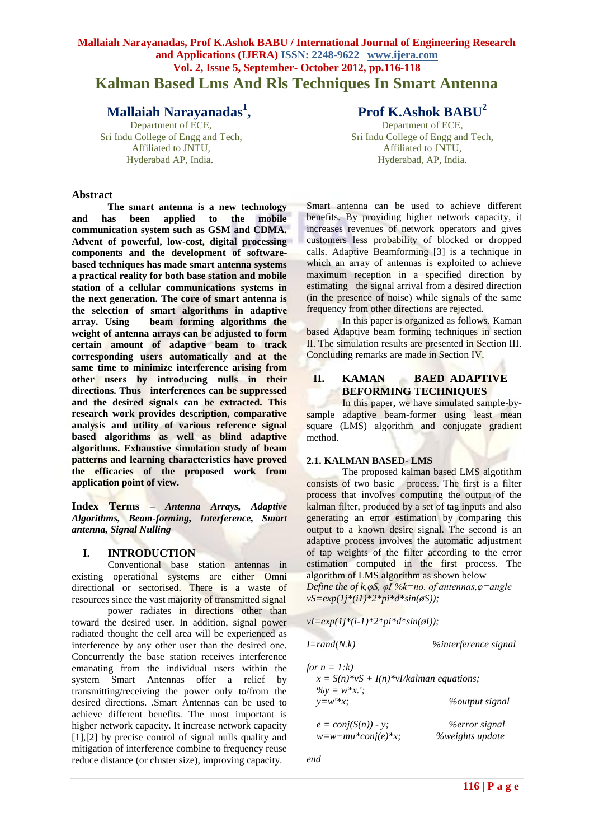## **Mallaiah Narayanadas, Prof K.Ashok BABU / International Journal of Engineering Research and Applications (IJERA) ISSN: 2248-9622 www.ijera.com Vol. 2, Issue 5, September- October 2012, pp.116-118 Kalman Based Lms And Rls Techniques In Smart Antenna**

# **Mallaiah Narayanadas<sup>1</sup>**

Sri Indu College of Engg and Tech, Affiliated to JNTU, Affiliated to JNTU, Hyderabad AP, India. 
Hyderabad, AP, India.

#### **Abstract**

**The smart antenna is a new technology and has been applied to the mobile communication system such as GSM and CDMA. Advent of powerful, low-cost, digital processing components and the development of softwarebased techniques has made smart antenna systems a practical reality for both base station and mobile station of a cellular communications systems in the next generation. The core of smart antenna is the selection of smart algorithms in adaptive array. Using beam forming algorithms the weight of antenna arrays can be adjusted to form certain amount of adaptive beam to track corresponding users automatically and at the same time to minimize interference arising from other users by introducing nulls in their directions. Thus interferences can be suppressed and the desired signals can be extracted. This research work provides description, comparative analysis and utility of various reference signal based algorithms as well as blind adaptive algorithms. Exhaustive simulation study of beam patterns and learning characteristics have proved the efficacies of the proposed work from application point of view.** 

**Index Terms –** *Antenna Arrays, Adaptive Algorithms, Beam-forming, Interference, Smart antenna, Signal Nulling*

#### **I. INTRODUCTION**

Conventional base station antennas in existing operational systems are either Omni directional or sectorised. There is a waste of resources since the vast majority of transmitted signal

power radiates in directions other than toward the desired user. In addition, signal power radiated thought the cell area will be experienced as interference by any other user than the desired one. Concurrently the base station receives interference emanating from the individual users within the system Smart Antennas offer a relief by transmitting/receiving the power only to/from the desired directions. .Smart Antennas can be used to achieve different benefits. The most important is higher network capacity. It increase network capacity [1],[2] by precise control of signal nulls quality and mitigation of interference combine to frequency reuse reduce distance (or cluster size), improving capacity.

# **Prof K.Ashok BABU<sup>2</sup>**<br>Department of ECE,

Department of ECE,<br>
u College of Engg and Tech,<br>
Sri Indu College of Engg and Tech,<br>
Sri Indu College of Engg and Tech,

Smart antenna can be used to achieve different benefits. By providing higher network capacity, it increases revenues of network operators and gives customers less probability of blocked or dropped calls. Adaptive Beamforming [3] is a technique in which an array of antennas is exploited to achieve maximum reception in a specified direction by estimating the signal arrival from a desired direction (in the presence of noise) while signals of the same frequency from other directions are rejected.

In this paper is organized as follows. Kaman based Adaptive beam forming techniques in section II. The simulation results are presented in Section III. Concluding remarks are made in Section IV.

#### **II. KAMAN BAED ADAPTIVE BEFORMING TECHNIQUES**

In this paper, we have simulated sample-bysample adaptive beam-former using least mean square (LMS) algorithm and conjugate gradient method.

#### **2.1. KALMAN BASED- LMS**

The proposed kalman based LMS algotithm consists of two basic process. The first is a filter process that involves computing the output of the kalman filter, produced by a set of tag inputs and also generating an error estimation by comparing this output to a known desire signal. The second is an adaptive process involves the automatic adjustment of tap weights of the filter according to the error estimation computed in the first process. The algorithm of LMS algorithm as shown below

*Define the of k,φS, φI %k=no. of antennas,φ=angle vS=exp(1j\*(i1)\*2\*pi\*d\*sin(øS));*

*vI=exp(1j\*(i-1)\*2\*pi\*d\*sin(øI));*

$$
I = rand(N,k)
$$

 $%$ interference signal

*for n = 1:k)*

 $x = S(n)*vS + I(n)*vI/kalman equations;$  $\%y = w^*x$ .';

 *y=w'\*x; %output signal*  $e = \text{conj}(S(n)) - y;$  %error signal  *w=w+mu\*conj(e)\*x; %weights update*

*end*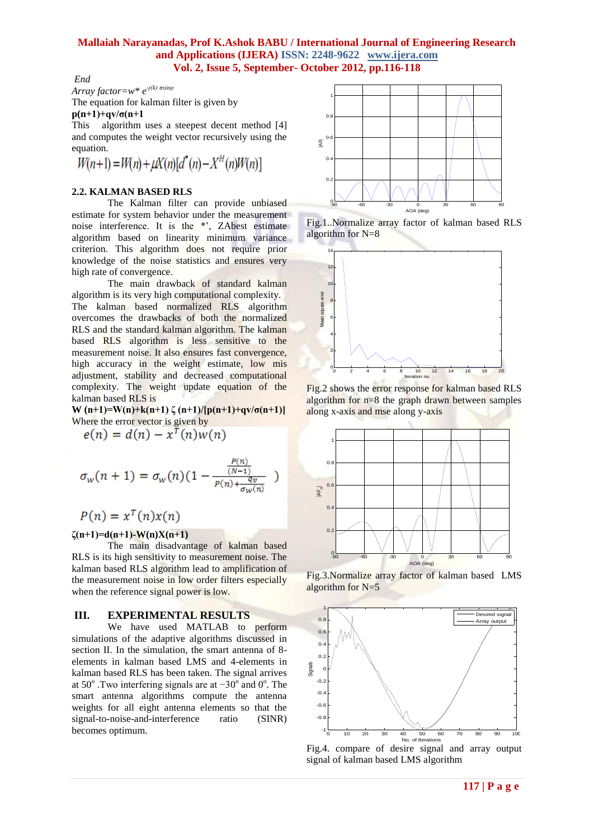#### **Mallaiah Narayanadas, Prof K.Ashok BABU / International Journal of Engineering Research and Applications (IJERA) ISSN: 2248-9622 www.ijera.com Vol. 2, Issue 5, September- October 2012, pp.116-118**

*End*

*Array factor=w\* e-j(k) πsinφ*

The equation for kalman filter is given by

### **p(n+1)+qv/σ(n+1**

This algorithm uses a steepest decent method [4] and computes the weight vector recursively using the equation.

$$
W(n+1) = W(n) + \mu X(n)[d^{(n)}(n) - X^H(n)W(n)]
$$

#### **2.2. KALMAN BASED RLS**

The Kalman filter can provide unbiased estimate for system behavior under the measurement noise interference. It is the \*', ZAbest estimate algorithm based on linearity minimum variance criterion. This algorithm does not require prior knowledge of the noise statistics and ensures very high rate of convergence.

The main drawback of standard kalman algorithm is its very high computational complexity. The kalman based normalized RLS algorithm overcomes the drawbacks of both the normalized RLS and the standard kalman algorithm. The kalman based RLS algorithm is less sensitive to the measurement noise. It also ensures fast convergence, high accuracy in the weight estimate, low mis adjustment, stability and decreased computational complexity. The weight update equation of the kalman based RLS is

**W** (n+1)=W(n)+k(n+1)  $\zeta$  (n+1)/[p(n+1)+qv/ $\sigma$ (n+1)] Where the error vector is given by

$$
e(n) = d(n) - x^T(n)w(n)
$$

$$
\sigma_{w}(n+1) = \sigma_{w}(n)(1 - \frac{\frac{P(n)}{(N-1)}}{P(n) + \frac{qv}{\sigma_{w}(n)}})
$$

$$
P(n) = x^T(n)x(n)
$$

 $\zeta(n+1)=d(n+1)-W(n)X(n+1)$ 

The main disadvantage of kalman based RLS is its high sensitivity to measurement noise. The kalman based RLS algorithm lead to amplification of the measurement noise in low order filters especially when the reference signal power is low.

#### **III. EXPERIMENTAL RESULTS**

We have used MATLAB to perform simulations of the adaptive algorithms discussed in section II. In the simulation, the smart antenna of 8 elements in kalman based LMS and 4-elements in kalman based RLS has been taken. The signal arrives at 50 $^{\circ}$ . Two interfering signals are at −30 $^{\circ}$  and 0 $^{\circ}$ . The smart antenna algorithms compute the antenna weights for all eight antenna elements so that the signal-to-noise-and-interference ratio (SINR) becomes optimum.



Fig.1..Normalize array factor of kalman based RLS algorithm for N=8



Fig.2 shows the error response for kalman based RLS algorithm for n=8 the graph drawn between samples along x-axis and mse along y-axis



Fig.3.Normalize array factor of kalman based LMS algorithm for N=5